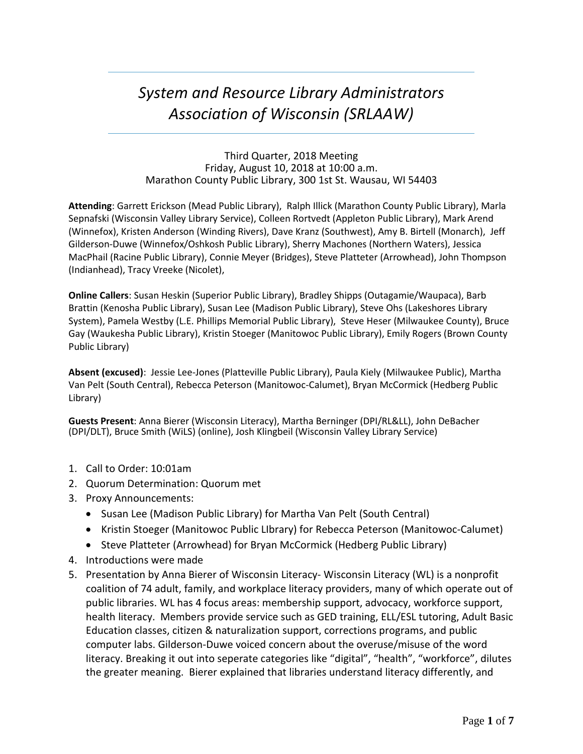# *System and Resource Library Administrators Association of Wisconsin (SRLAAW)*

#### Third Quarter, 2018 Meeting Friday, August 10, 2018 at 10:00 a.m. Marathon County Public Library, 300 1st St. Wausau, WI 54403

**Attending**: Garrett Erickson (Mead Public Library), Ralph Illick (Marathon County Public Library), Marla Sepnafski (Wisconsin Valley Library Service), Colleen Rortvedt (Appleton Public Library), Mark Arend (Winnefox), Kristen Anderson (Winding Rivers), Dave Kranz (Southwest), Amy B. Birtell (Monarch), Jeff Gilderson-Duwe (Winnefox/Oshkosh Public Library), Sherry Machones (Northern Waters), Jessica MacPhail (Racine Public Library), Connie Meyer (Bridges), Steve Platteter (Arrowhead), John Thompson (Indianhead), Tracy Vreeke (Nicolet),

**Online Callers**: Susan Heskin (Superior Public Library), Bradley Shipps (Outagamie/Waupaca), Barb Brattin (Kenosha Public Library), Susan Lee (Madison Public Library), Steve Ohs (Lakeshores Library System), Pamela Westby (L.E. Phillips Memorial Public Library), Steve Heser (Milwaukee County), Bruce Gay (Waukesha Public Library), Kristin Stoeger (Manitowoc Public Library), Emily Rogers (Brown County Public Library)

**Absent (excused)**: Jessie Lee-Jones (Platteville Public Library), Paula Kiely (Milwaukee Public), Martha Van Pelt (South Central), Rebecca Peterson (Manitowoc-Calumet), Bryan McCormick (Hedberg Public Library)

**Guests Present**: Anna Bierer (Wisconsin Literacy), Martha Berninger (DPI/RL&LL), John DeBacher (DPI/DLT), Bruce Smith (WiLS) (online), Josh Klingbeil (Wisconsin Valley Library Service)

- 1. Call to Order: 10:01am
- 2. Quorum Determination: Quorum met
- 3. Proxy Announcements:
	- Susan Lee (Madison Public Library) for Martha Van Pelt (South Central)
	- Kristin Stoeger (Manitowoc Public LIbrary) for Rebecca Peterson (Manitowoc-Calumet)
	- Steve Platteter (Arrowhead) for Bryan McCormick (Hedberg Public Library)
- 4. Introductions were made
- 5. Presentation by Anna Bierer of Wisconsin Literacy- Wisconsin Literacy (WL) is a nonprofit coalition of 74 adult, family, and workplace literacy providers, many of which operate out of public libraries. WL has 4 focus areas: membership support, advocacy, workforce support, health literacy. Members provide service such as GED training, ELL/ESL tutoring, Adult Basic Education classes, citizen & naturalization support, corrections programs, and public computer labs. Gilderson-Duwe voiced concern about the overuse/misuse of the word literacy. Breaking it out into seperate categories like "digital", "health", "workforce", dilutes the greater meaning. Bierer explained that libraries understand literacy differently, and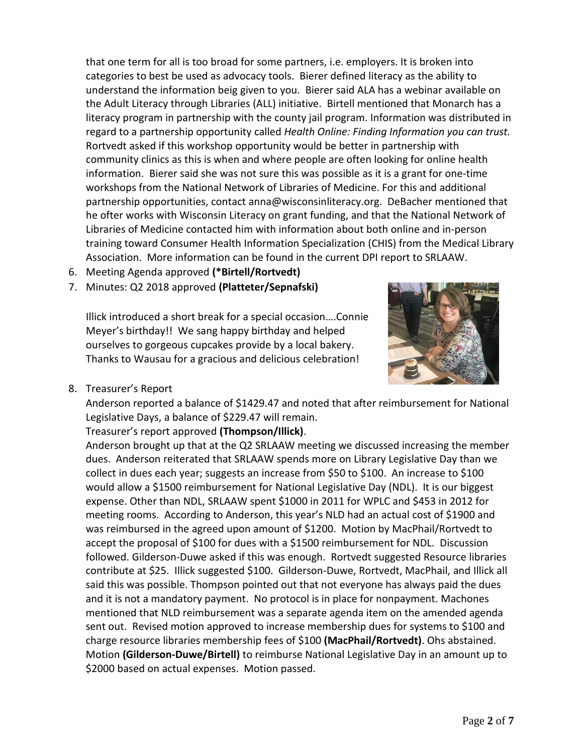that one term for all is too broad for some partners, i.e. employers. It is broken into categories to best be used as advocacy tools. Bierer defined literacy as the ability to understand the information beig given to you. Bierer said ALA has a webinar available on the Adult Literacy through Libraries (ALL) initiative. Birtell mentioned that Monarch has a literacy program in partnership with the county jail program. Information was distributed in regard to a partnership opportunity called *Health Online: Finding Information you can trust.* Rortvedt asked if this workshop opportunity would be better in partnership with community clinics as this is when and where people are often looking for online health information. Bierer said she was not sure this was possible as it is a grant for one-time workshops from the National Network of Libraries of Medicine. For this and additional partnership opportunities, contact anna@wisconsinliteracy.org. DeBacher mentioned that he ofter works with Wisconsin Literacy on grant funding, and that the National Network of Libraries of Medicine contacted him with information about both online and in-person training toward Consumer Health Information Specialization (CHIS) from the Medical Library Association. More information can be found in the current DPI report to SRLAAW.

- 6. Meeting Agenda approved **(\*Birtell/Rortvedt)**
- 7. Minutes: Q2 2018 approved **(Platteter/Sepnafski)**

Illick introduced a short break for a special occasion….Connie Meyer's birthday!! We sang happy birthday and helped ourselves to gorgeous cupcakes provide by a local bakery. Thanks to Wausau for a gracious and delicious celebration!



8. Treasurer's Report

Anderson reported a balance of \$1429.47 and noted that after reimbursement for National Legislative Days, a balance of \$229.47 will remain.

## Treasurer's report approved **(Thompson/Illick)**.

Anderson brought up that at the Q2 SRLAAW meeting we discussed increasing the member dues. Anderson reiterated that SRLAAW spends more on Library Legislative Day than we collect in dues each year; suggests an increase from \$50 to \$100. An increase to \$100 would allow a \$1500 reimbursement for National Legislative Day (NDL). It is our biggest expense. Other than NDL, SRLAAW spent \$1000 in 2011 for WPLC and \$453 in 2012 for meeting rooms. According to Anderson, this year's NLD had an actual cost of \$1900 and was reimbursed in the agreed upon amount of \$1200. Motion by MacPhail/Rortvedt to accept the proposal of \$100 for dues with a \$1500 reimbursement for NDL. Discussion followed. Gilderson-Duwe asked if this was enough. Rortvedt suggested Resource libraries contribute at \$25. Illick suggested \$100. Gilderson-Duwe, Rortvedt, MacPhail, and Illick all said this was possible. Thompson pointed out that not everyone has always paid the dues and it is not a mandatory payment. No protocol is in place for nonpayment. Machones mentioned that NLD reimbursement was a separate agenda item on the amended agenda sent out. Revised motion approved to increase membership dues for systems to \$100 and charge resource libraries membership fees of \$100 **(MacPhail/Rortvedt)**. Ohs abstained. Motion **(Gilderson-Duwe/Birtell)** to reimburse National Legislative Day in an amount up to \$2000 based on actual expenses. Motion passed.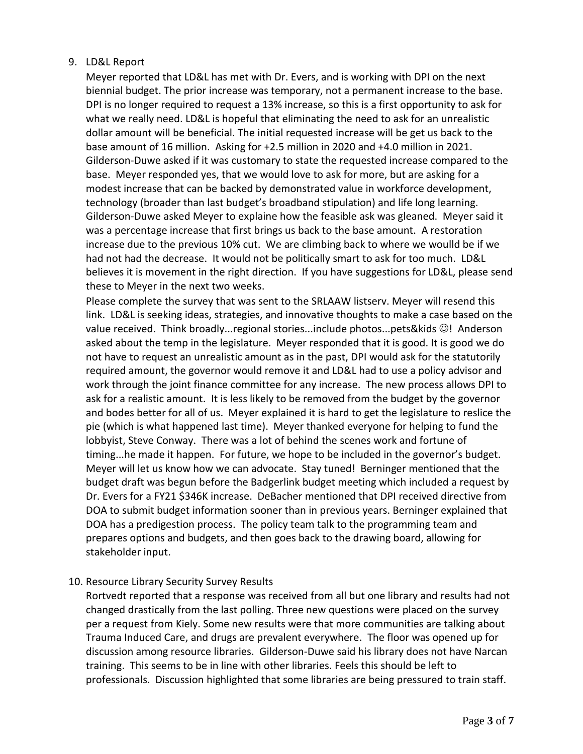### 9. LD&L Report

Meyer reported that LD&L has met with Dr. Evers, and is working with DPI on the next biennial budget. The prior increase was temporary, not a permanent increase to the base. DPI is no longer required to request a 13% increase, so this is a first opportunity to ask for what we really need. LD&L is hopeful that eliminating the need to ask for an unrealistic dollar amount will be beneficial. The initial requested increase will be get us back to the base amount of 16 million. Asking for +2.5 million in 2020 and +4.0 million in 2021. Gilderson-Duwe asked if it was customary to state the requested increase compared to the base. Meyer responded yes, that we would love to ask for more, but are asking for a modest increase that can be backed by demonstrated value in workforce development, technology (broader than last budget's broadband stipulation) and life long learning. Gilderson-Duwe asked Meyer to explaine how the feasible ask was gleaned. Meyer said it was a percentage increase that first brings us back to the base amount. A restoration increase due to the previous 10% cut. We are climbing back to where we woulld be if we had not had the decrease. It would not be politically smart to ask for too much. LD&L believes it is movement in the right direction. If you have suggestions for LD&L, please send these to Meyer in the next two weeks.

Please complete the survey that was sent to the SRLAAW listserv. Meyer will resend this link. LD&L is seeking ideas, strategies, and innovative thoughts to make a case based on the value received. Think broadly...regional stories...include photos...pets&kids  $\circledcirc$ ! Anderson asked about the temp in the legislature. Meyer responded that it is good. It is good we do not have to request an unrealistic amount as in the past, DPI would ask for the statutorily required amount, the governor would remove it and LD&L had to use a policy advisor and work through the joint finance committee for any increase. The new process allows DPI to ask for a realistic amount. It is less likely to be removed from the budget by the governor and bodes better for all of us. Meyer explained it is hard to get the legislature to reslice the pie (which is what happened last time). Meyer thanked everyone for helping to fund the lobbyist, Steve Conway. There was a lot of behind the scenes work and fortune of timing...he made it happen. For future, we hope to be included in the governor's budget. Meyer will let us know how we can advocate. Stay tuned! Berninger mentioned that the budget draft was begun before the Badgerlink budget meeting which included a request by Dr. Evers for a FY21 \$346K increase. DeBacher mentioned that DPI received directive from DOA to submit budget information sooner than in previous years. Berninger explained that DOA has a predigestion process. The policy team talk to the programming team and prepares options and budgets, and then goes back to the drawing board, allowing for stakeholder input.

#### 10. Resource Library Security Survey Results

Rortvedt reported that a response was received from all but one library and results had not changed drastically from the last polling. Three new questions were placed on the survey per a request from Kiely. Some new results were that more communities are talking about Trauma Induced Care, and drugs are prevalent everywhere. The floor was opened up for discussion among resource libraries. Gilderson-Duwe said his library does not have Narcan training. This seems to be in line with other libraries. Feels this should be left to professionals. Discussion highlighted that some libraries are being pressured to train staff.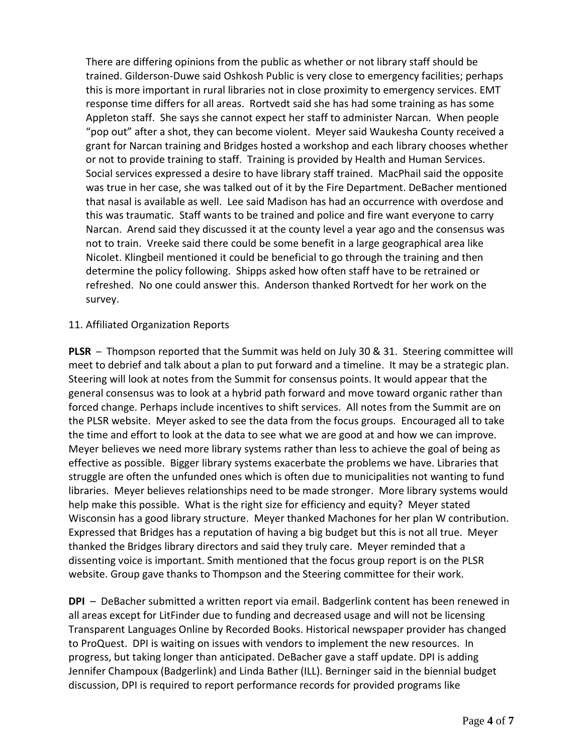There are differing opinions from the public as whether or not library staff should be trained. Gilderson-Duwe said Oshkosh Public is very close to emergency facilities; perhaps this is more important in rural libraries not in close proximity to emergency services. EMT response time differs for all areas. Rortvedt said she has had some training as has some Appleton staff. She says she cannot expect her staff to administer Narcan. When people "pop out" after a shot, they can become violent. Meyer said Waukesha County received a grant for Narcan training and Bridges hosted a workshop and each library chooses whether or not to provide training to staff. Training is provided by Health and Human Services. Social services expressed a desire to have library staff trained. MacPhail said the opposite was true in her case, she was talked out of it by the Fire Department. DeBacher mentioned that nasal is available as well. Lee said Madison has had an occurrence with overdose and this was traumatic. Staff wants to be trained and police and fire want everyone to carry Narcan. Arend said they discussed it at the county level a year ago and the consensus was not to train. Vreeke said there could be some benefit in a large geographical area like Nicolet. Klingbeil mentioned it could be beneficial to go through the training and then determine the policy following. Shipps asked how often staff have to be retrained or refreshed. No one could answer this. Anderson thanked Rortvedt for her work on the survey.

#### 11. Affiliated Organization Reports

**PLSR** – Thompson reported that the Summit was held on July 30 & 31. Steering committee will meet to debrief and talk about a plan to put forward and a timeline. It may be a strategic plan. Steering will look at notes from the Summit for consensus points. It would appear that the general consensus was to look at a hybrid path forward and move toward organic rather than forced change. Perhaps include incentives to shift services. All notes from the Summit are on the PLSR website. Meyer asked to see the data from the focus groups. Encouraged all to take the time and effort to look at the data to see what we are good at and how we can improve. Meyer believes we need more library systems rather than less to achieve the goal of being as effective as possible. Bigger library systems exacerbate the problems we have. Libraries that struggle are often the unfunded ones which is often due to municipalities not wanting to fund libraries. Meyer believes relationships need to be made stronger. More library systems would help make this possible. What is the right size for efficiency and equity? Meyer stated Wisconsin has a good library structure. Meyer thanked Machones for her plan W contribution. Expressed that Bridges has a reputation of having a big budget but this is not all true. Meyer thanked the Bridges library directors and said they truly care. Meyer reminded that a dissenting voice is important. Smith mentioned that the focus group report is on the PLSR website. Group gave thanks to Thompson and the Steering committee for their work.

**DPI** – DeBacher submitted a written report via email. Badgerlink content has been renewed in all areas except for LitFinder due to funding and decreased usage and will not be licensing Transparent Languages Online by Recorded Books. Historical newspaper provider has changed to ProQuest. DPI is waiting on issues with vendors to implement the new resources. In progress, but taking longer than anticipated. DeBacher gave a staff update. DPI is adding Jennifer Champoux (Badgerlink) and Linda Bather (ILL). Berninger said in the biennial budget discussion, DPI is required to report performance records for provided programs like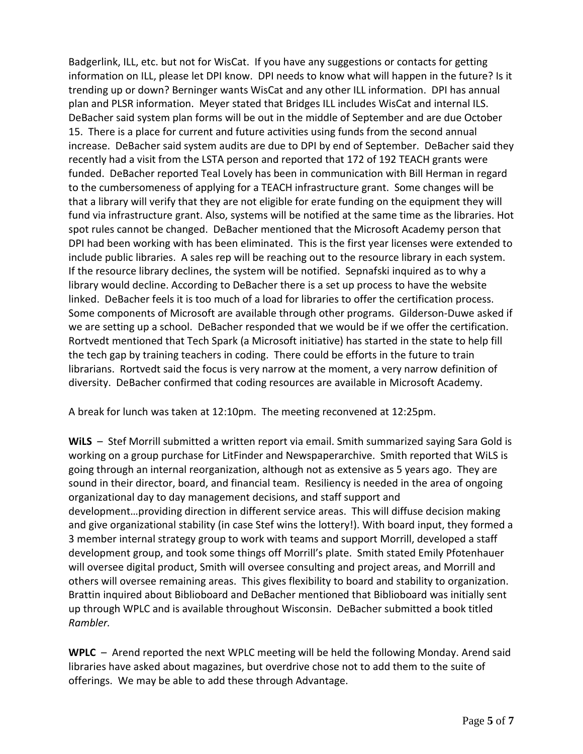Badgerlink, ILL, etc. but not for WisCat. If you have any suggestions or contacts for getting information on ILL, please let DPI know. DPI needs to know what will happen in the future? Is it trending up or down? Berninger wants WisCat and any other ILL information. DPI has annual plan and PLSR information. Meyer stated that Bridges ILL includes WisCat and internal ILS. DeBacher said system plan forms will be out in the middle of September and are due October 15. There is a place for current and future activities using funds from the second annual increase. DeBacher said system audits are due to DPI by end of September. DeBacher said they recently had a visit from the LSTA person and reported that 172 of 192 TEACH grants were funded. DeBacher reported Teal Lovely has been in communication with Bill Herman in regard to the cumbersomeness of applying for a TEACH infrastructure grant. Some changes will be that a library will verify that they are not eligible for erate funding on the equipment they will fund via infrastructure grant. Also, systems will be notified at the same time as the libraries. Hot spot rules cannot be changed. DeBacher mentioned that the Microsoft Academy person that DPI had been working with has been eliminated. This is the first year licenses were extended to include public libraries. A sales rep will be reaching out to the resource library in each system. If the resource library declines, the system will be notified. Sepnafski inquired as to why a library would decline. According to DeBacher there is a set up process to have the website linked. DeBacher feels it is too much of a load for libraries to offer the certification process. Some components of Microsoft are available through other programs. Gilderson-Duwe asked if we are setting up a school. DeBacher responded that we would be if we offer the certification. Rortvedt mentioned that Tech Spark (a Microsoft initiative) has started in the state to help fill the tech gap by training teachers in coding. There could be efforts in the future to train librarians. Rortvedt said the focus is very narrow at the moment, a very narrow definition of diversity. DeBacher confirmed that coding resources are available in Microsoft Academy.

A break for lunch was taken at 12:10pm. The meeting reconvened at 12:25pm.

**WiLS** – Stef Morrill submitted a written report via email. Smith summarized saying Sara Gold is working on a group purchase for LitFinder and Newspaperarchive. Smith reported that WiLS is going through an internal reorganization, although not as extensive as 5 years ago. They are sound in their director, board, and financial team. Resiliency is needed in the area of ongoing organizational day to day management decisions, and staff support and development…providing direction in different service areas. This will diffuse decision making and give organizational stability (in case Stef wins the lottery!). With board input, they formed a 3 member internal strategy group to work with teams and support Morrill, developed a staff development group, and took some things off Morrill's plate. Smith stated Emily Pfotenhauer will oversee digital product, Smith will oversee consulting and project areas, and Morrill and others will oversee remaining areas. This gives flexibility to board and stability to organization. Brattin inquired about Biblioboard and DeBacher mentioned that Biblioboard was initially sent up through WPLC and is available throughout Wisconsin. DeBacher submitted a book titled *Rambler.*

**WPLC** – Arend reported the next WPLC meeting will be held the following Monday. Arend said libraries have asked about magazines, but overdrive chose not to add them to the suite of offerings. We may be able to add these through Advantage.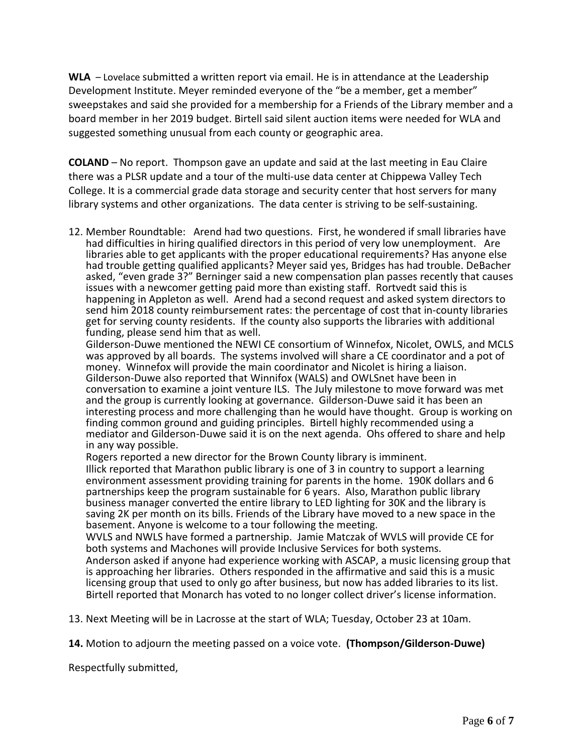**WLA** – Lovelace submitted a written report via email. He is in attendance at the Leadership Development Institute. Meyer reminded everyone of the "be a member, get a member" sweepstakes and said she provided for a membership for a Friends of the Library member and a board member in her 2019 budget. Birtell said silent auction items were needed for WLA and suggested something unusual from each county or geographic area.

**COLAND** – No report. Thompson gave an update and said at the last meeting in Eau Claire there was a PLSR update and a tour of the multi-use data center at Chippewa Valley Tech College. It is a commercial grade data storage and security center that host servers for many library systems and other organizations. The data center is striving to be self-sustaining.

12. Member Roundtable: Arend had two questions. First, he wondered if small libraries have had difficulties in hiring qualified directors in this period of very low unemployment. Are libraries able to get applicants with the proper educational requirements? Has anyone else had trouble getting qualified applicants? Meyer said yes, Bridges has had trouble. DeBacher asked, "even grade 3?" Berninger said a new compensation plan passes recently that causes issues with a newcomer getting paid more than existing staff. Rortvedt said this is happening in Appleton as well. Arend had a second request and asked system directors to send him 2018 county reimbursement rates: the percentage of cost that in-county libraries get for serving county residents. If the county also supports the libraries with additional funding, please send him that as well.

Gilderson-Duwe mentioned the NEWI CE consortium of Winnefox, Nicolet, OWLS, and MCLS was approved by all boards. The systems involved will share a CE coordinator and a pot of money. Winnefox will provide the main coordinator and Nicolet is hiring a liaison. Gilderson-Duwe also reported that Winnifox (WALS) and OWLSnet have been in conversation to examine a joint venture ILS. The July milestone to move forward was met and the group is currently looking at governance. Gilderson-Duwe said it has been an interesting process and more challenging than he would have thought. Group is working on finding common ground and guiding principles. Birtell highly recommended using a mediator and Gilderson-Duwe said it is on the next agenda. Ohs offered to share and help in any way possible.

Rogers reported a new director for the Brown County library is imminent.

Illick reported that Marathon public library is one of 3 in country to support a learning environment assessment providing training for parents in the home. 190K dollars and 6 partnerships keep the program sustainable for 6 years. Also, Marathon public library business manager converted the entire library to LED lighting for 30K and the library is saving 2K per month on its bills. Friends of the Library have moved to a new space in the basement. Anyone is welcome to a tour following the meeting.

WVLS and NWLS have formed a partnership. Jamie Matczak of WVLS will provide CE for both systems and Machones will provide Inclusive Services for both systems.

Anderson asked if anyone had experience working with ASCAP, a music licensing group that is approaching her libraries. Others responded in the affirmative and said this is a music licensing group that used to only go after business, but now has added libraries to its list. Birtell reported that Monarch has voted to no longer collect driver's license information.

13. Next Meeting will be in Lacrosse at the start of WLA; Tuesday, October 23 at 10am.

**14.** Motion to adjourn the meeting passed on a voice vote. **(Thompson/Gilderson-Duwe)**

Respectfully submitted,